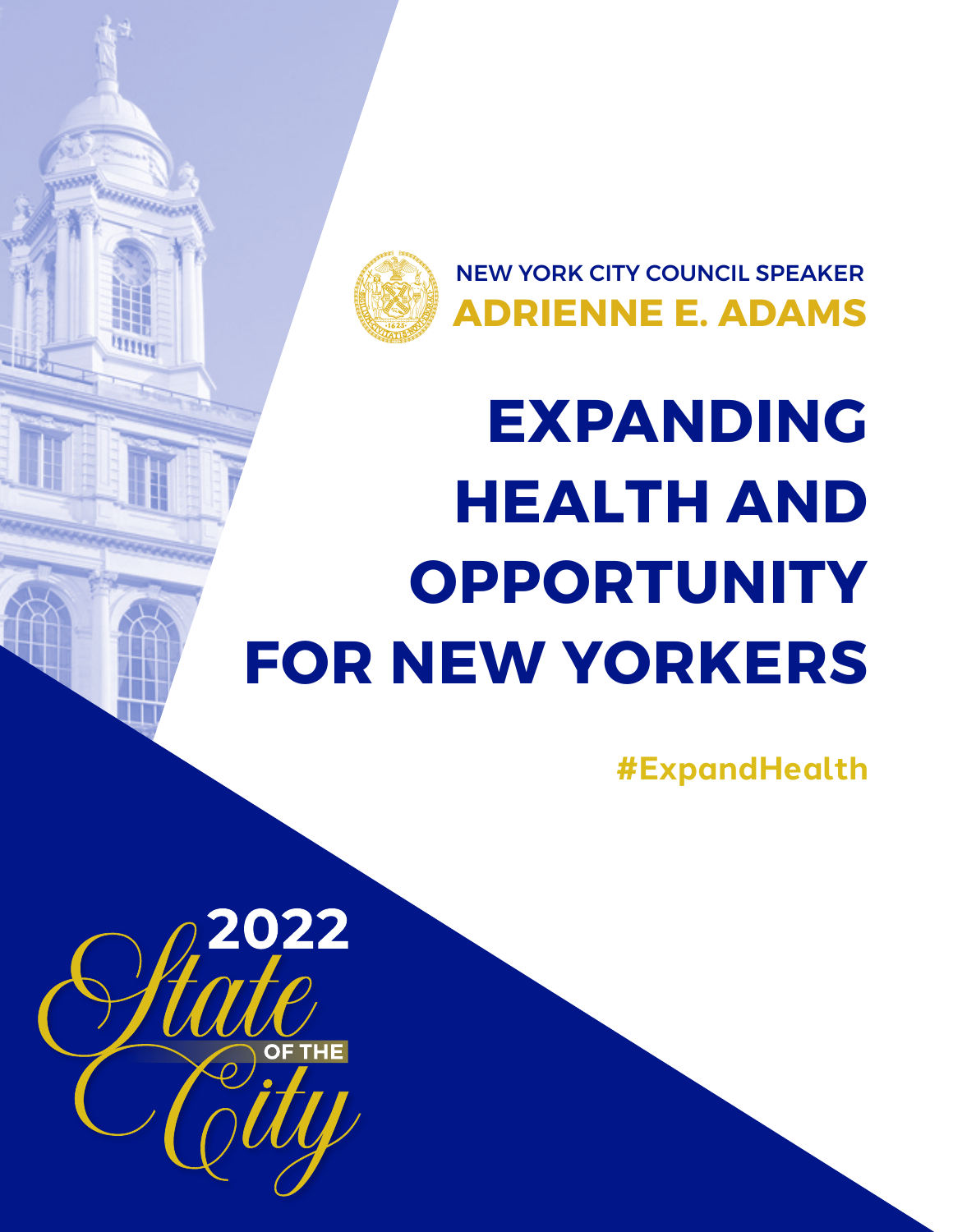

NEW YORK CITY COUNCIL SPEAKER **ADRIENNE E. ADAMS**

# **EXPANDING HEALTH AND OPPORTUNITY FOR NEW YORKERS**

**#ExpandHealth**

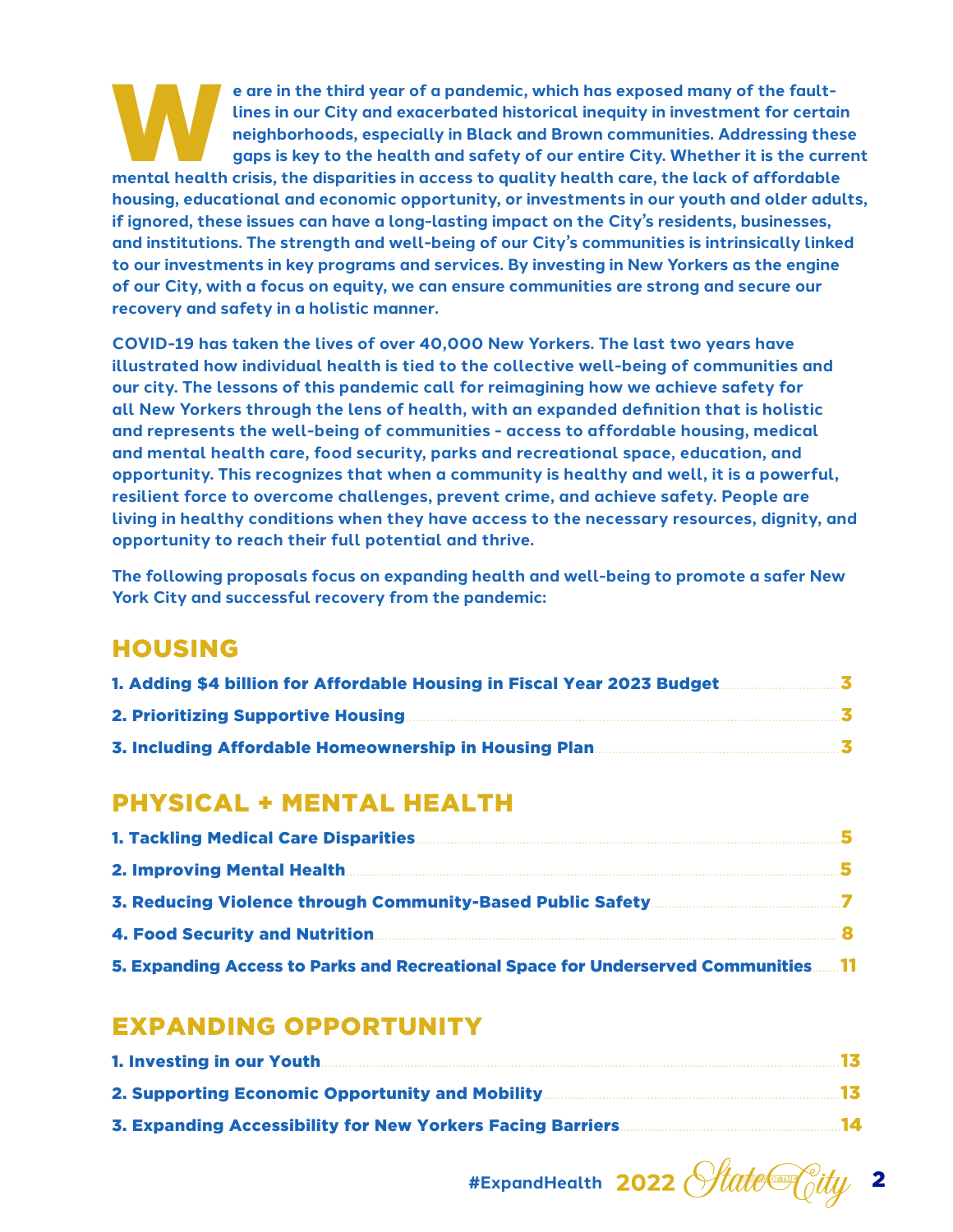**Experience are in the third year of a pandemic, which has exposed many of the fault-**<br>lines in our City and exacerbated historical inequity in investment for certain<br>mental health crisis, the disparities in access to qual **lines in our City and exacerbated historical inequity in investment for certain neighborhoods, especially in Black and Brown communities. Addressing these gaps is key to the health and safety of our entire City. Whether it is the current housing, educational and economic opportunity, or investments in our youth and older adults, if ignored, these issues can have a long-lasting impact on the City's residents, businesses, and institutions. The strength and well-being of our City's communities is intrinsically linked to our investments in key programs and services. By investing in New Yorkers as the engine of our City, with a focus on equity, we can ensure communities are strong and secure our recovery and safety in a holistic manner.** 

**COVID-19 has taken the lives of over 40,000 New Yorkers. The last two years have illustrated how individual health is tied to the collective well-being of communities and our city. The lessons of this pandemic call for reimagining how we achieve safety for all New Yorkers through the lens of health, with an expanded definition that is holistic and represents the well-being of communities - access to affordable housing, medical and mental health care, food security, parks and recreational space, education, and opportunity. This recognizes that when a community is healthy and well, it is a powerful, resilient force to overcome challenges, prevent crime, and achieve safety. People are living in healthy conditions when they have access to the necessary resources, dignity, and opportunity to reach their full potential and thrive.** 

**The following proposals focus on expanding health and well-being to promote a safer New York City and successful recovery from the pandemic:** 

# HOUSING

| 1. Adding \$4 billion for Affordable Housing in Fiscal Year 2023 Budget. |
|--------------------------------------------------------------------------|
| <b>2. Prioritizing Supportive Housing.</b>                               |
| 3. Including Affordable Homeownership in Housing Plan.                   |

# PHYSICAL + MENTAL HEALTH

| <b>1. Tackling Medical Care Disparities</b>                                       |  |
|-----------------------------------------------------------------------------------|--|
|                                                                                   |  |
|                                                                                   |  |
|                                                                                   |  |
| 5. Expanding Access to Parks and Recreational Space for Underserved Communities11 |  |

# EXPANDING OPPORTUNITY

| 1. Investing in our Youth.                             |      |
|--------------------------------------------------------|------|
| <b>2. Supporting Economic Opportunity and Mobility</b> |      |
|                                                        | - 14 |

#ExpandHealth 2022 *State@city*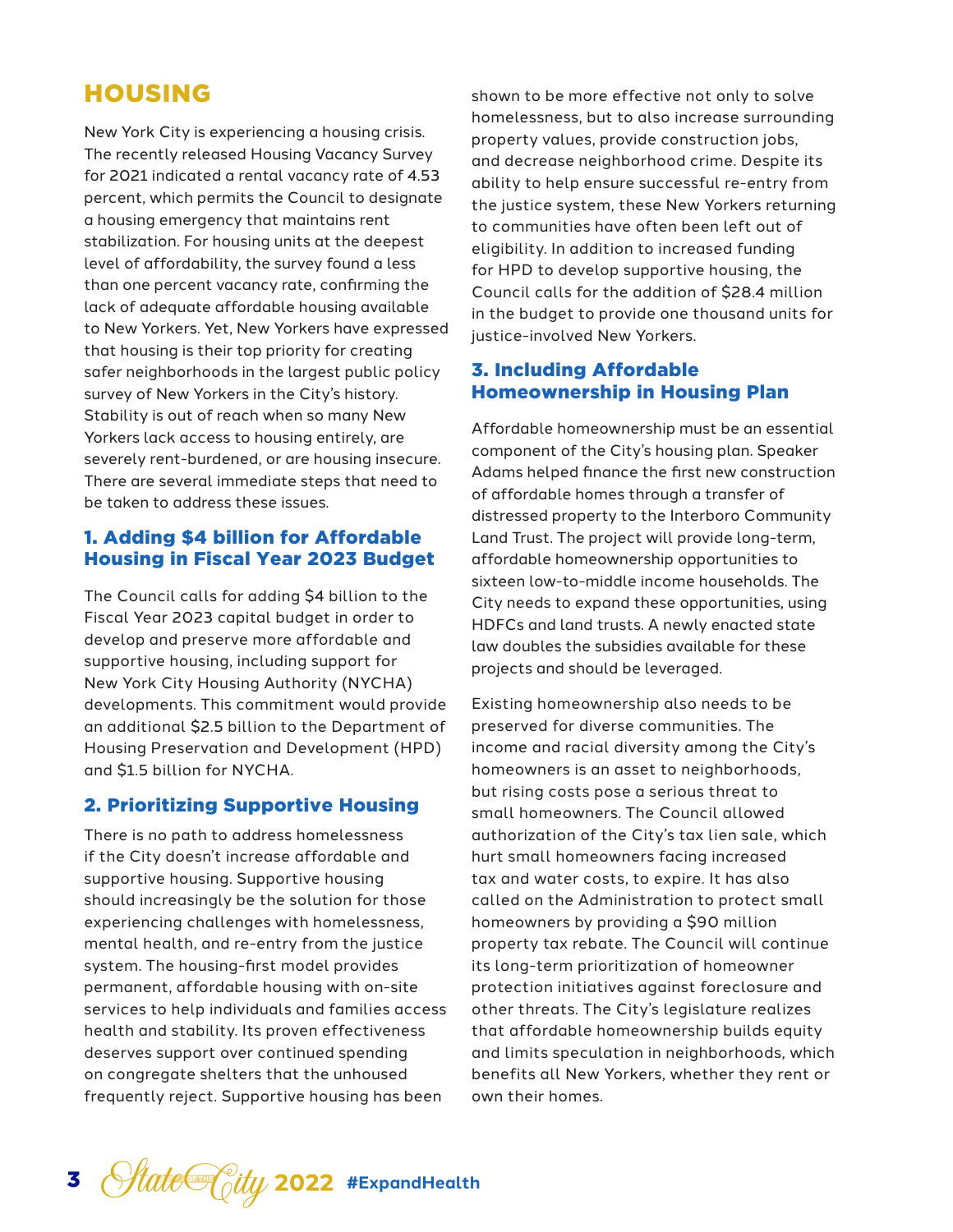# HOUSING

New York City is experiencing a housing crisis. The recently released Housing Vacancy Survey for 2021 indicated a rental vacancy rate of 4.53 percent, which permits the Council to designate a housing emergency that maintains rent stabilization. For housing units at the deepest level of affordability, the survey found a less than one percent vacancy rate, confirming the lack of adequate affordable housing available to New Yorkers. Yet, New Yorkers have expressed that housing is their top priority for creating safer neighborhoods in the largest public policy survey of New Yorkers in the City's history. Stability is out of reach when so many New Yorkers lack access to housing entirely, are severely rent-burdened, or are housing insecure. There are several immediate steps that need to be taken to address these issues.

## 1. Adding \$4 billion for Affordable Housing in Fiscal Year 2023 Budget

The Council calls for adding \$4 billion to the Fiscal Year 2023 capital budget in order to develop and preserve more affordable and supportive housing, including support for New York City Housing Authority (NYCHA) developments. This commitment would provide an additional \$2.5 billion to the Department of Housing Preservation and Development (HPD) and \$1.5 billion for NYCHA.

## 2. Prioritizing Supportive Housing

There is no path to address homelessness if the City doesn't increase affordable and supportive housing. Supportive housing should increasingly be the solution for those experiencing challenges with homelessness, mental health, and re-entry from the justice system. The housing-first model provides permanent, affordable housing with on-site services to help individuals and families access health and stability. Its proven effectiveness deserves support over continued spending on congregate shelters that the unhoused frequently reject. Supportive housing has been

shown to be more effective not only to solve homelessness, but to also increase surrounding property values, provide construction jobs, and decrease neighborhood crime. Despite its ability to help ensure successful re-entry from the justice system, these New Yorkers returning to communities have often been left out of eligibility. In addition to increased funding for HPD to develop supportive housing, the Council calls for the addition of \$28.4 million in the budget to provide one thousand units for justice-involved New Yorkers.

## 3. Including Affordable Homeownership in Housing Plan

Affordable homeownership must be an essential component of the City's housing plan. Speaker Adams helped finance the first new construction of affordable homes through a transfer of distressed property to the Interboro Community Land Trust. The project will provide long-term, affordable homeownership opportunities to sixteen low-to-middle income households. The City needs to expand these opportunities, using HDFCs and land trusts. A newly enacted state law doubles the subsidies available for these projects and should be leveraged.

Existing homeownership also needs to be preserved for diverse communities. The income and racial diversity among the City's homeowners is an asset to neighborhoods, but rising costs pose a serious threat to small homeowners. The Council allowed authorization of the City's tax lien sale, which hurt small homeowners facing increased tax and water costs, to expire. It has also called on the Administration to protect small homeowners by providing a \$90 million property tax rebate. The Council will continue its long-term prioritization of homeowner protection initiatives against foreclosure and other threats. The City's legislature realizes that affordable homeownership builds equity and limits speculation in neighborhoods, which benefits all New Yorkers, whether they rent or own their homes.

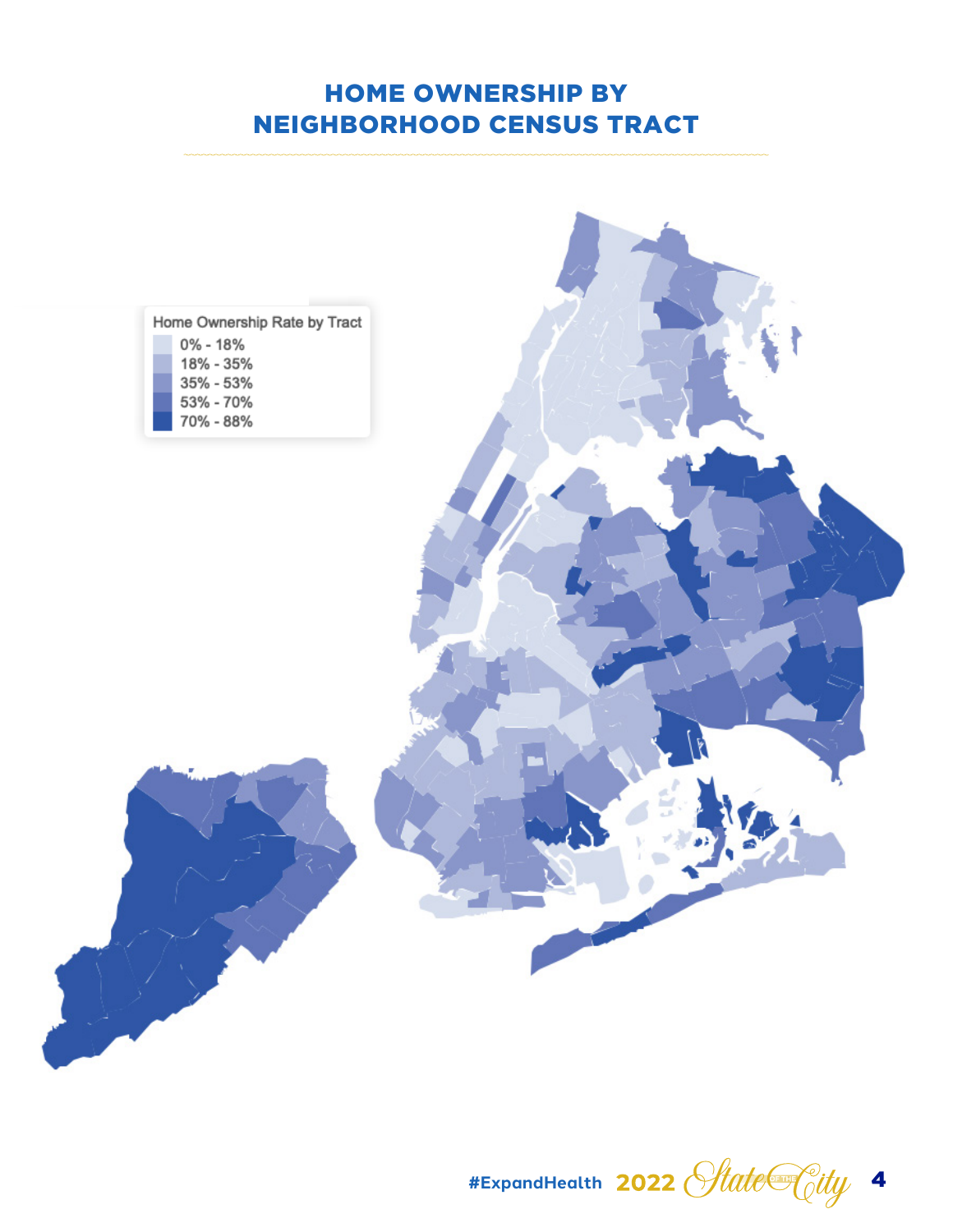# HOME OWNERSHIP BY NEIGHBORHOOD CENSUS TRACT



**#ExpandHealth** 4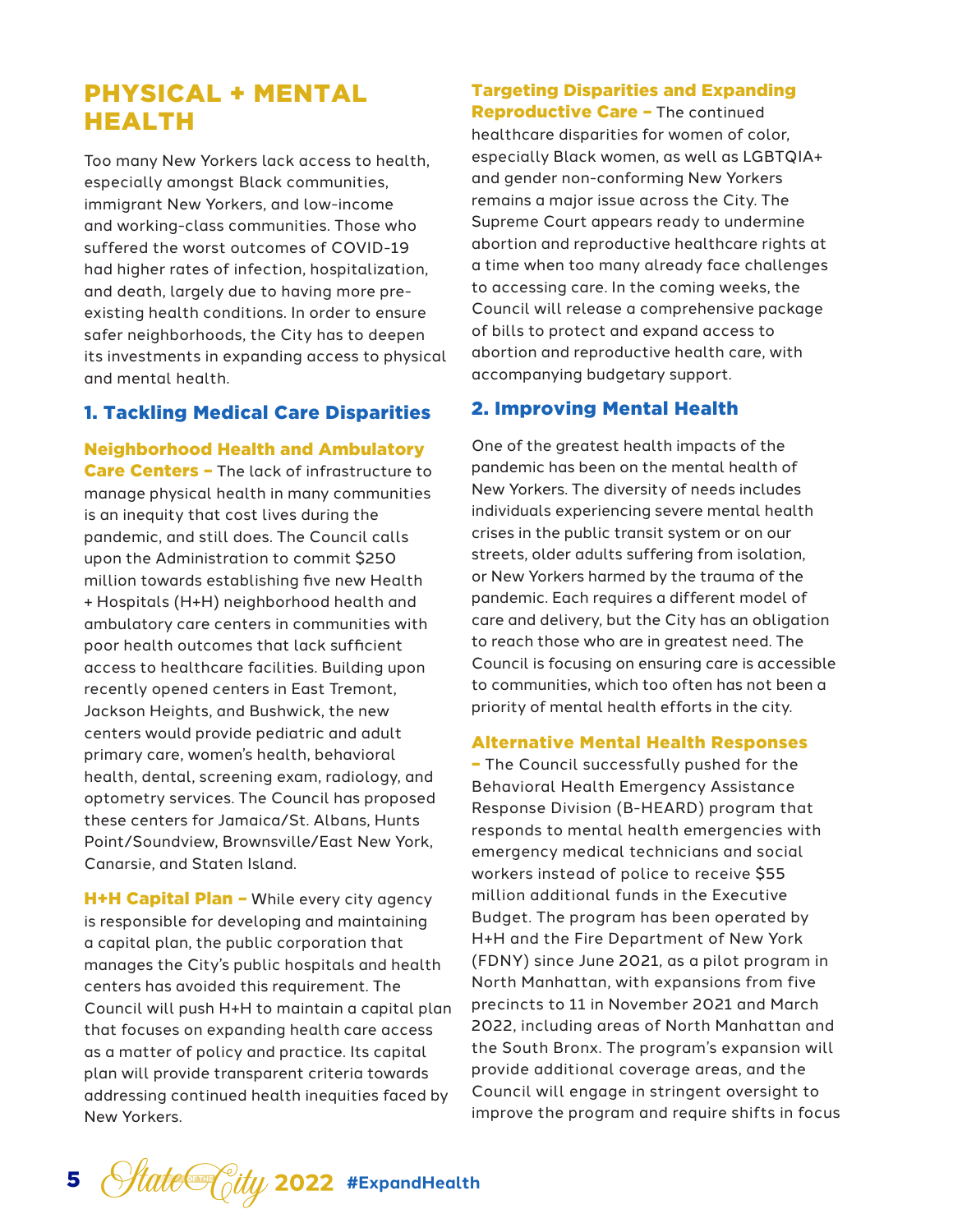# PHYSICAL + MENTAL HEALTH

Too many New Yorkers lack access to health, especially amongst Black communities, immigrant New Yorkers, and low-income and working-class communities. Those who suffered the worst outcomes of COVID-19 had higher rates of infection, hospitalization, and death, largely due to having more preexisting health conditions. In order to ensure safer neighborhoods, the City has to deepen its investments in expanding access to physical and mental health.

## 1. Tackling Medical Care Disparities

Neighborhood Health and Ambulatory Care Centers - The lack of infrastructure to manage physical health in many communities is an inequity that cost lives during the pandemic, and still does. The Council calls upon the Administration to commit \$250 million towards establishing five new Health + Hospitals (H+H) neighborhood health and ambulatory care centers in communities with poor health outcomes that lack sufficient access to healthcare facilities. Building upon recently opened centers in East Tremont, Jackson Heights, and Bushwick, the new centers would provide pediatric and adult primary care, women's health, behavioral health, dental, screening exam, radiology, and optometry services. The Council has proposed these centers for Jamaica/St. Albans, Hunts Point/Soundview, Brownsville/East New York, Canarsie, and Staten Island.

H+H Capital Plan - While every city agency is responsible for developing and maintaining a capital plan, the public corporation that manages the City's public hospitals and health centers has avoided this requirement. The Council will push H+H to maintain a capital plan that focuses on expanding health care access as a matter of policy and practice. Its capital plan will provide transparent criteria towards addressing continued health inequities faced by New Yorkers.

#### Targeting Disparities and Expanding Reproductive Care - The continued

healthcare disparities for women of color, especially Black women, as well as LGBTQIA+ and gender non-conforming New Yorkers remains a major issue across the City. The Supreme Court appears ready to undermine abortion and reproductive healthcare rights at a time when too many already face challenges to accessing care. In the coming weeks, the Council will release a comprehensive package of bills to protect and expand access to abortion and reproductive health care, with accompanying budgetary support.

## 2. Improving Mental Health

One of the greatest health impacts of the pandemic has been on the mental health of New Yorkers. The diversity of needs includes individuals experiencing severe mental health crises in the public transit system or on our streets, older adults suffering from isolation, or New Yorkers harmed by the trauma of the pandemic. Each requires a different model of care and delivery, but the City has an obligation to reach those who are in greatest need. The Council is focusing on ensuring care is accessible to communities, which too often has not been a priority of mental health efforts in the city.

#### Alternative Mental Health Responses

– The Council successfully pushed for the Behavioral Health Emergency Assistance Response Division (B-HEARD) program that responds to mental health emergencies with emergency medical technicians and social workers instead of police to receive \$55 million additional funds in the Executive Budget. The program has been operated by H+H and the Fire Department of New York (FDNY) since June 2021, as a pilot program in North Manhattan, with expansions from five precincts to 11 in November 2021 and March 2022, including areas of North Manhattan and the South Bronx. The program's expansion will provide additional coverage areas, and the Council will engage in stringent oversight to improve the program and require shifts in focus

5 *State* City 2022 #ExpandHealth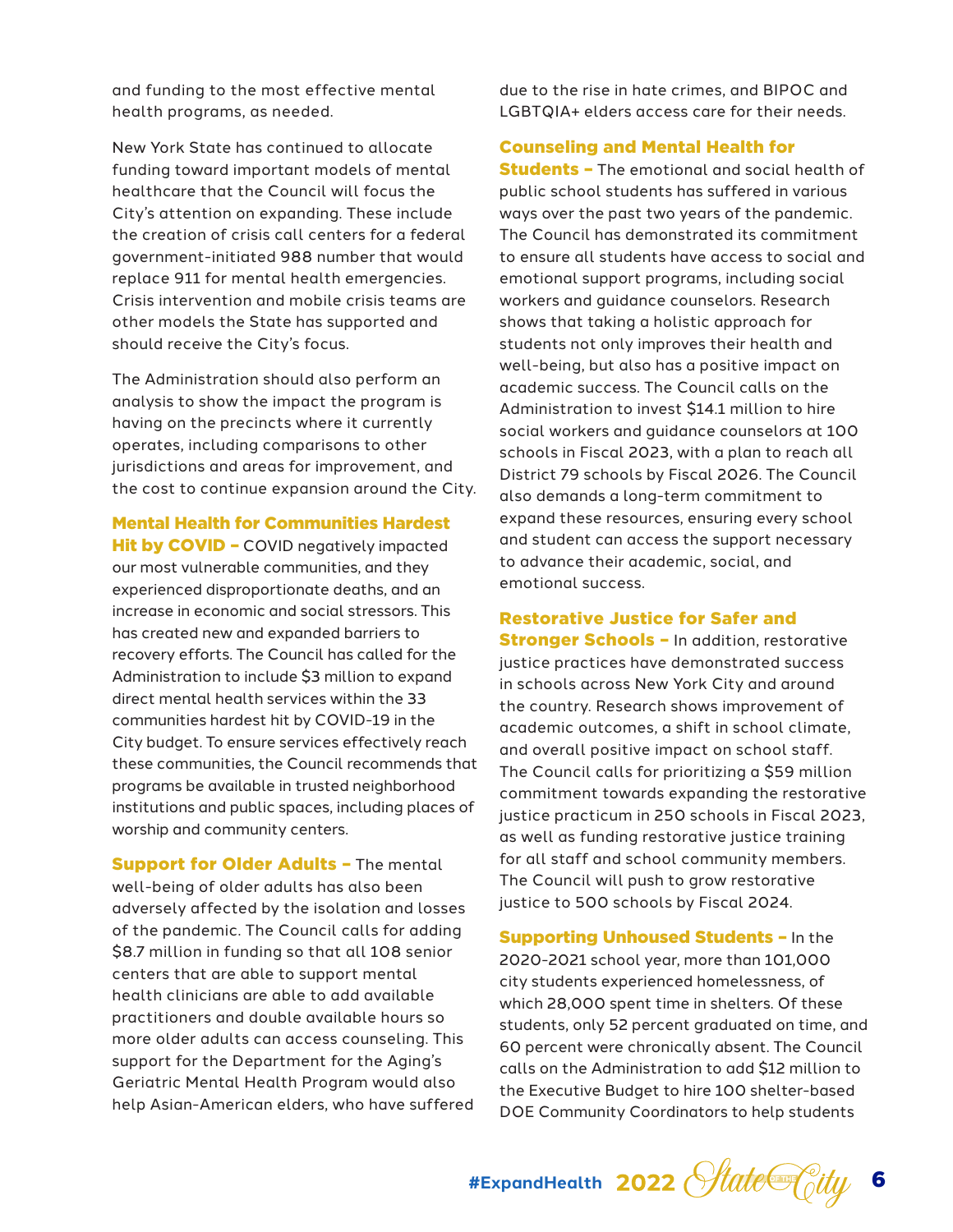and funding to the most effective mental health programs, as needed.

New York State has continued to allocate funding toward important models of mental healthcare that the Council will focus the City's attention on expanding. These include the creation of crisis call centers for a federal government-initiated 988 number that would replace 911 for mental health emergencies. Crisis intervention and mobile crisis teams are other models the State has supported and should receive the City's focus.

The Administration should also perform an analysis to show the impact the program is having on the precincts where it currently operates, including comparisons to other jurisdictions and areas for improvement, and the cost to continue expansion around the City.

Mental Health for Communities Hardest

Hit by COVID - COVID negatively impacted our most vulnerable communities, and they experienced disproportionate deaths, and an increase in economic and social stressors. This has created new and expanded barriers to recovery efforts. The Council has called for the Administration to include \$3 million to expand direct mental health services within the 33 communities hardest hit by COVID-19 in the City budget. To ensure services effectively reach these communities, the Council recommends that programs be available in trusted neighborhood institutions and public spaces, including places of worship and community centers.

**Support for Older Adults - The mental** well-being of older adults has also been adversely affected by the isolation and losses of the pandemic. The Council calls for adding \$8.7 million in funding so that all 108 senior centers that are able to support mental health clinicians are able to add available practitioners and double available hours so more older adults can access counseling. This support for the Department for the Aging's Geriatric Mental Health Program would also help Asian-American elders, who have suffered

due to the rise in hate crimes, and BIPOC and LGBTQIA+ elders access care for their needs.

Counseling and Mental Health for

**Students -** The emotional and social health of public school students has suffered in various ways over the past two years of the pandemic. The Council has demonstrated its commitment to ensure all students have access to social and emotional support programs, including social workers and guidance counselors. Research shows that taking a holistic approach for students not only improves their health and well-being, but also has a positive impact on academic success. The Council calls on the Administration to invest \$14.1 million to hire social workers and guidance counselors at 100 schools in Fiscal 2023, with a plan to reach all District 79 schools by Fiscal 2026. The Council also demands a long-term commitment to expand these resources, ensuring every school and student can access the support necessary to advance their academic, social, and emotional success.

Restorative Justice for Safer and

**Stronger Schools - In addition, restorative** justice practices have demonstrated success in schools across New York City and around the country. Research shows improvement of academic outcomes, a shift in school climate, and overall positive impact on school staff. The Council calls for prioritizing a \$59 million commitment towards expanding the restorative justice practicum in 250 schools in Fiscal 2023, as well as funding restorative justice training for all staff and school community members. The Council will push to grow restorative justice to 500 schools by Fiscal 2024.

Supporting Unhoused Students – In the 2020-2021 school year, more than 101,000 city students experienced homelessness, of which 28,000 spent time in shelters. Of these students, only 52 percent graduated on time, and 60 percent were chronically absent. The Council calls on the Administration to add \$12 million to the Executive Budget to hire 100 shelter-based DOE Community Coordinators to help students

#ExpandHealth 2022 *Hate<sup>C</sup>City*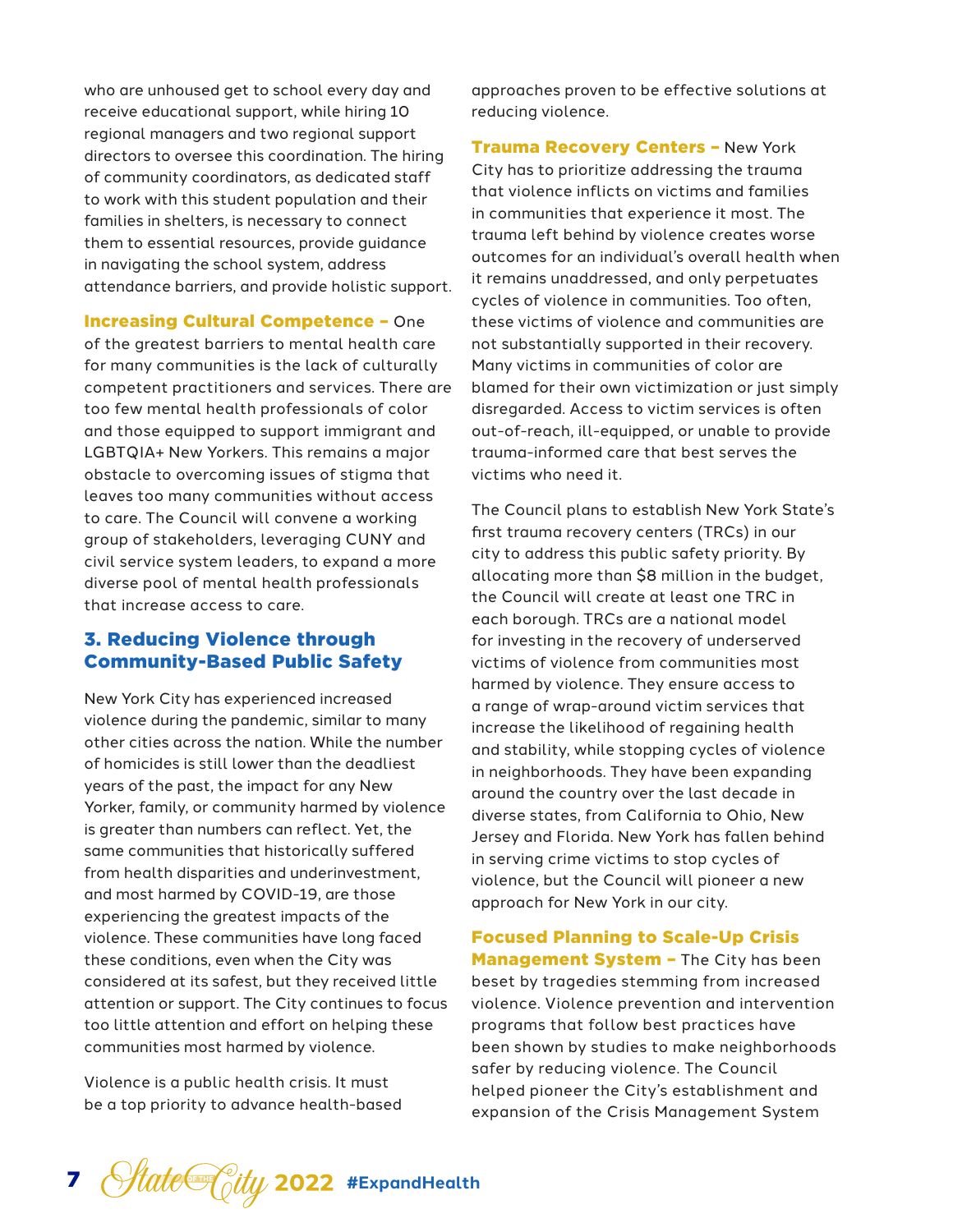who are unhoused get to school every day and receive educational support, while hiring 10 regional managers and two regional support directors to oversee this coordination. The hiring of community coordinators, as dedicated staff to work with this student population and their families in shelters, is necessary to connect them to essential resources, provide guidance in navigating the school system, address attendance barriers, and provide holistic support.

Increasing Cultural Competence – One of the greatest barriers to mental health care for many communities is the lack of culturally competent practitioners and services. There are too few mental health professionals of color and those equipped to support immigrant and LGBTQIA+ New Yorkers. This remains a major obstacle to overcoming issues of stigma that leaves too many communities without access to care. The Council will convene a working group of stakeholders, leveraging CUNY and civil service system leaders, to expand a more diverse pool of mental health professionals that increase access to care.

## 3. Reducing Violence through Community-Based Public Safety

New York City has experienced increased violence during the pandemic, similar to many other cities across the nation. While the number of homicides is still lower than the deadliest years of the past, the impact for any New Yorker, family, or community harmed by violence is greater than numbers can reflect. Yet, the same communities that historically suffered from health disparities and underinvestment, and most harmed by COVID-19, are those experiencing the greatest impacts of the violence. These communities have long faced these conditions, even when the City was considered at its safest, but they received little attention or support. The City continues to focus too little attention and effort on helping these communities most harmed by violence.

Violence is a public health crisis. It must be a top priority to advance health-based approaches proven to be effective solutions at reducing violence.

Trauma Recovery Centers – New York City has to prioritize addressing the trauma that violence inflicts on victims and families in communities that experience it most. The trauma left behind by violence creates worse outcomes for an individual's overall health when it remains unaddressed, and only perpetuates cycles of violence in communities. Too often, these victims of violence and communities are not substantially supported in their recovery. Many victims in communities of color are blamed for their own victimization or just simply disregarded. Access to victim services is often out-of-reach, ill-equipped, or unable to provide trauma-informed care that best serves the victims who need it.

The Council plans to establish New York State's first trauma recovery centers (TRCs) in our city to address this public safety priority. By allocating more than \$8 million in the budget, the Council will create at least one TRC in each borough. TRCs are a national model for investing in the recovery of underserved victims of violence from communities most harmed by violence. They ensure access to a range of wrap-around victim services that increase the likelihood of regaining health and stability, while stopping cycles of violence in neighborhoods. They have been expanding around the country over the last decade in diverse states, from California to Ohio, New Jersey and Florida. New York has fallen behind in serving crime victims to stop cycles of violence, but the Council will pioneer a new approach for New York in our city.

Focused Planning to Scale-Up Crisis Management System - The City has been beset by tragedies stemming from increased violence. Violence prevention and intervention programs that follow best practices have been shown by studies to make neighborhoods safer by reducing violence. The Council helped pioneer the City's establishment and expansion of the Crisis Management System

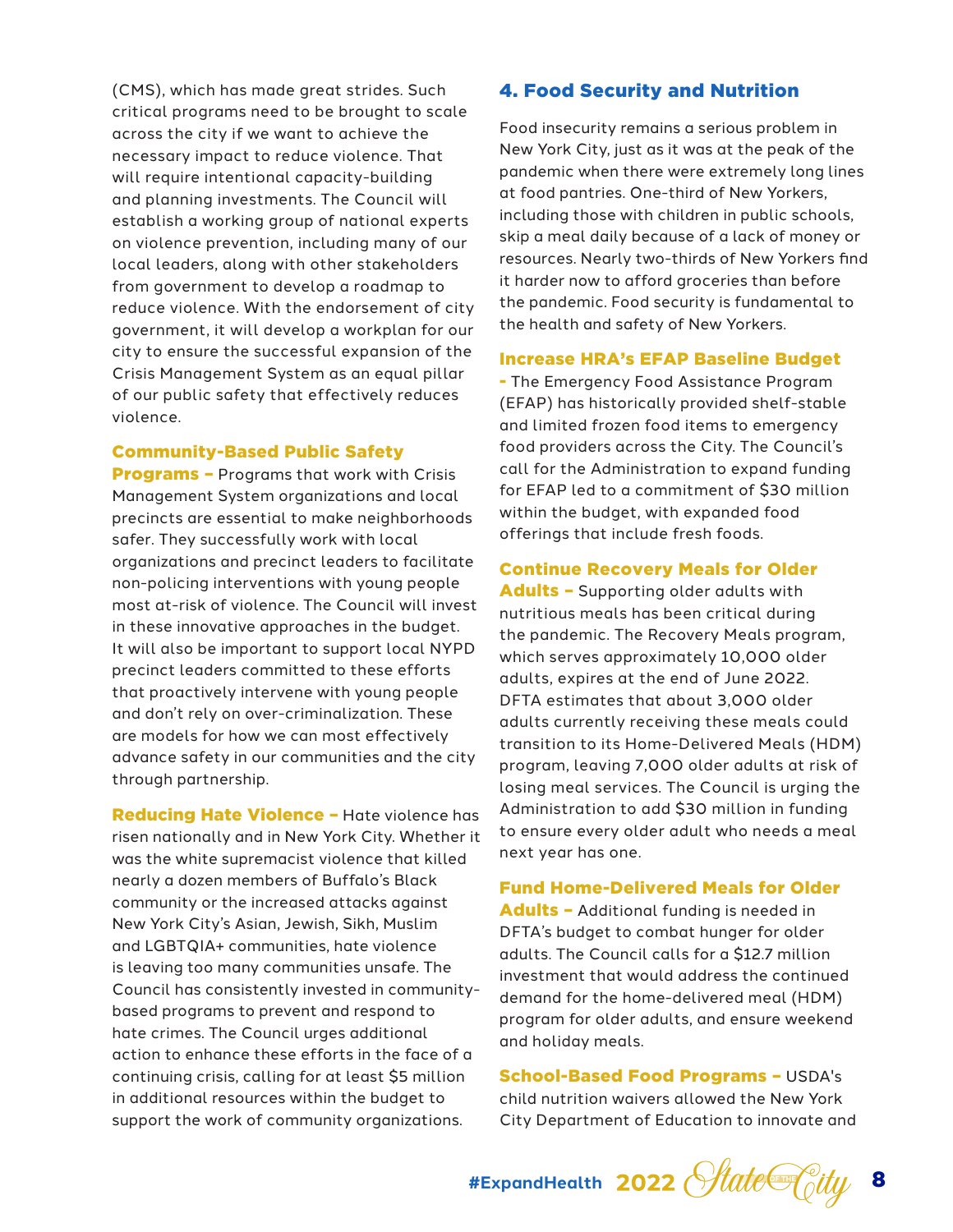(CMS), which has made great strides. Such critical programs need to be brought to scale across the city if we want to achieve the necessary impact to reduce violence. That will require intentional capacity-building and planning investments. The Council will establish a working group of national experts on violence prevention, including many of our local leaders, along with other stakeholders from government to develop a roadmap to reduce violence. With the endorsement of city government, it will develop a workplan for our city to ensure the successful expansion of the Crisis Management System as an equal pillar of our public safety that effectively reduces violence.

#### Community-Based Public Safety

**Programs - Programs that work with Crisis** Management System organizations and local precincts are essential to make neighborhoods safer. They successfully work with local organizations and precinct leaders to facilitate non-policing interventions with young people most at-risk of violence. The Council will invest in these innovative approaches in the budget. It will also be important to support local NYPD precinct leaders committed to these efforts that proactively intervene with young people and don't rely on over-criminalization. These are models for how we can most effectively advance safety in our communities and the city through partnership.

Reducing Hate Violence – Hate violence has risen nationally and in New York City. Whether it was the white supremacist violence that killed nearly a dozen members of Buffalo's Black community or the increased attacks against New York City's Asian, Jewish, Sikh, Muslim and LGBTQIA+ communities, hate violence is leaving too many communities unsafe. The Council has consistently invested in communitybased programs to prevent and respond to hate crimes. The Council urges additional action to enhance these efforts in the face of a continuing crisis, calling for at least \$5 million in additional resources within the budget to support the work of community organizations.

#### 4. Food Security and Nutrition

Food insecurity remains a serious problem in New York City, just as it was at the peak of the pandemic when there were extremely long lines at food pantries. One-third of New Yorkers, including those with children in public schools, skip a meal daily because of a lack of money or resources. Nearly two-thirds of New Yorkers find it harder now to afford groceries than before the pandemic. Food security is fundamental to the health and safety of New Yorkers.

#### Increase HRA's EFAP Baseline Budget

- The Emergency Food Assistance Program (EFAP) has historically provided shelf-stable and limited frozen food items to emergency food providers across the City. The Council's call for the Administration to expand funding for EFAP led to a commitment of \$30 million within the budget, with expanded food offerings that include fresh foods.

#### Continue Recovery Meals for Older

Adults - Supporting older adults with nutritious meals has been critical during the pandemic. The Recovery Meals program, which serves approximately 10,000 older adults, expires at the end of June 2022. DFTA estimates that about 3,000 older adults currently receiving these meals could transition to its Home-Delivered Meals (HDM) program, leaving 7,000 older adults at risk of losing meal services. The Council is urging the Administration to add \$30 million in funding to ensure every older adult who needs a meal next year has one.

#### Fund Home-Delivered Meals for Older

Adults - Additional funding is needed in DFTA's budget to combat hunger for older adults. The Council calls for a \$12.7 million investment that would address the continued demand for the home-delivered meal (HDM) program for older adults, and ensure weekend and holiday meals.

#### School-Based Food Programs – USDA's child nutrition waivers allowed the New York City Department of Education to innovate and

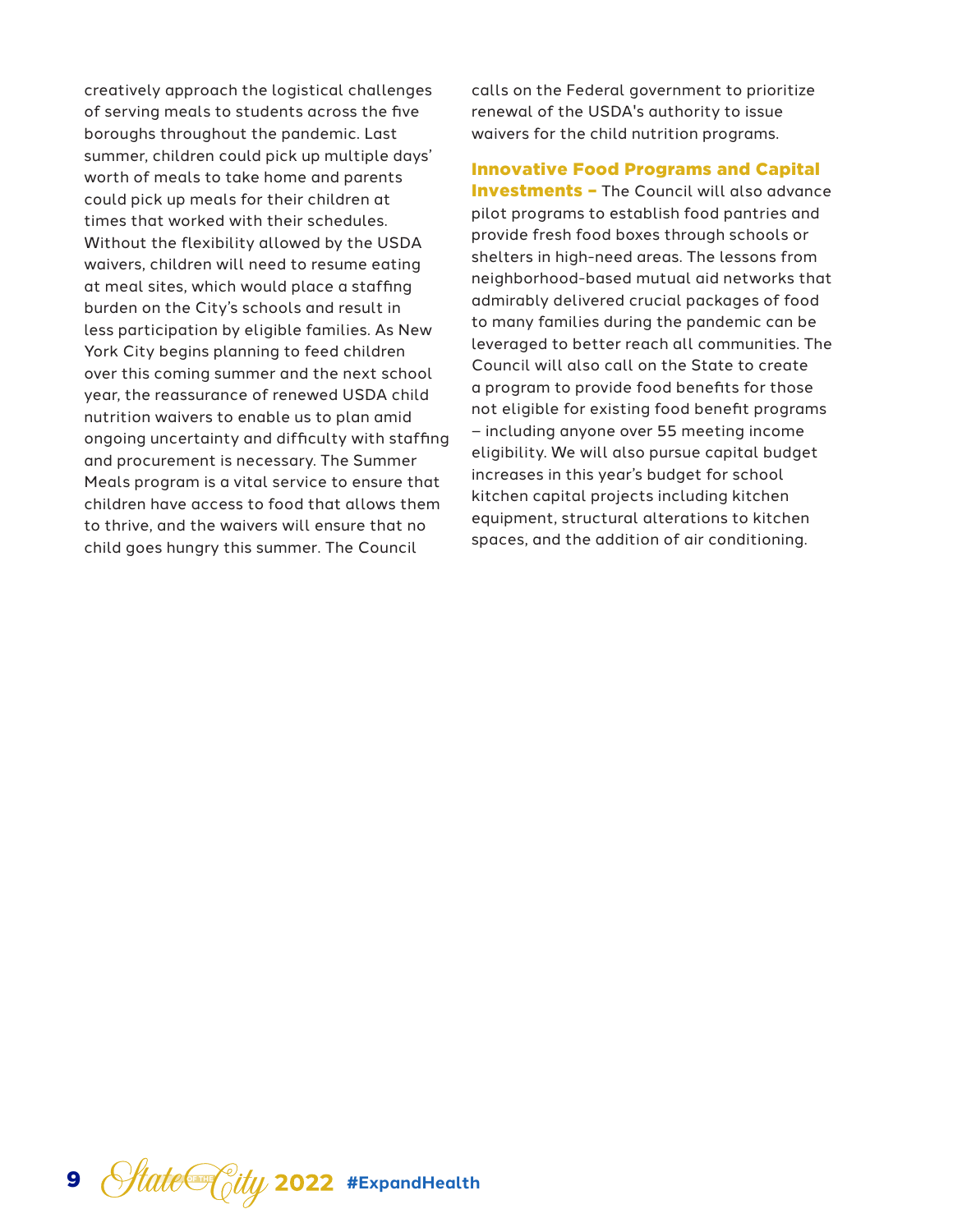creatively approach the logistical challenges of serving meals to students across the five boroughs throughout the pandemic. Last summer, children could pick up multiple days' worth of meals to take home and parents could pick up meals for their children at times that worked with their schedules. Without the flexibility allowed by the USDA waivers, children will need to resume eating at meal sites, which would place a staffing burden on the City's schools and result in less participation by eligible families. As New York City begins planning to feed children over this coming summer and the next school year, the reassurance of renewed USDA child nutrition waivers to enable us to plan amid ongoing uncertainty and difficulty with staffing and procurement is necessary. The Summer Meals program is a vital service to ensure that children have access to food that allows them to thrive, and the waivers will ensure that no child goes hungry this summer. The Council

calls on the Federal government to prioritize renewal of the USDA's authority to issue waivers for the child nutrition programs.

Innovative Food Programs and Capital **Investments - The Council will also advance** pilot programs to establish food pantries and provide fresh food boxes through schools or shelters in high-need areas. The lessons from neighborhood-based mutual aid networks that admirably delivered crucial packages of food to many families during the pandemic can be leveraged to better reach all communities. The Council will also call on the State to create a program to provide food benefits for those not eligible for existing food benefit programs – including anyone over 55 meeting income eligibility. We will also pursue capital budget increases in this year's budget for school kitchen capital projects including kitchen equipment, structural alterations to kitchen spaces, and the addition of air conditioning.

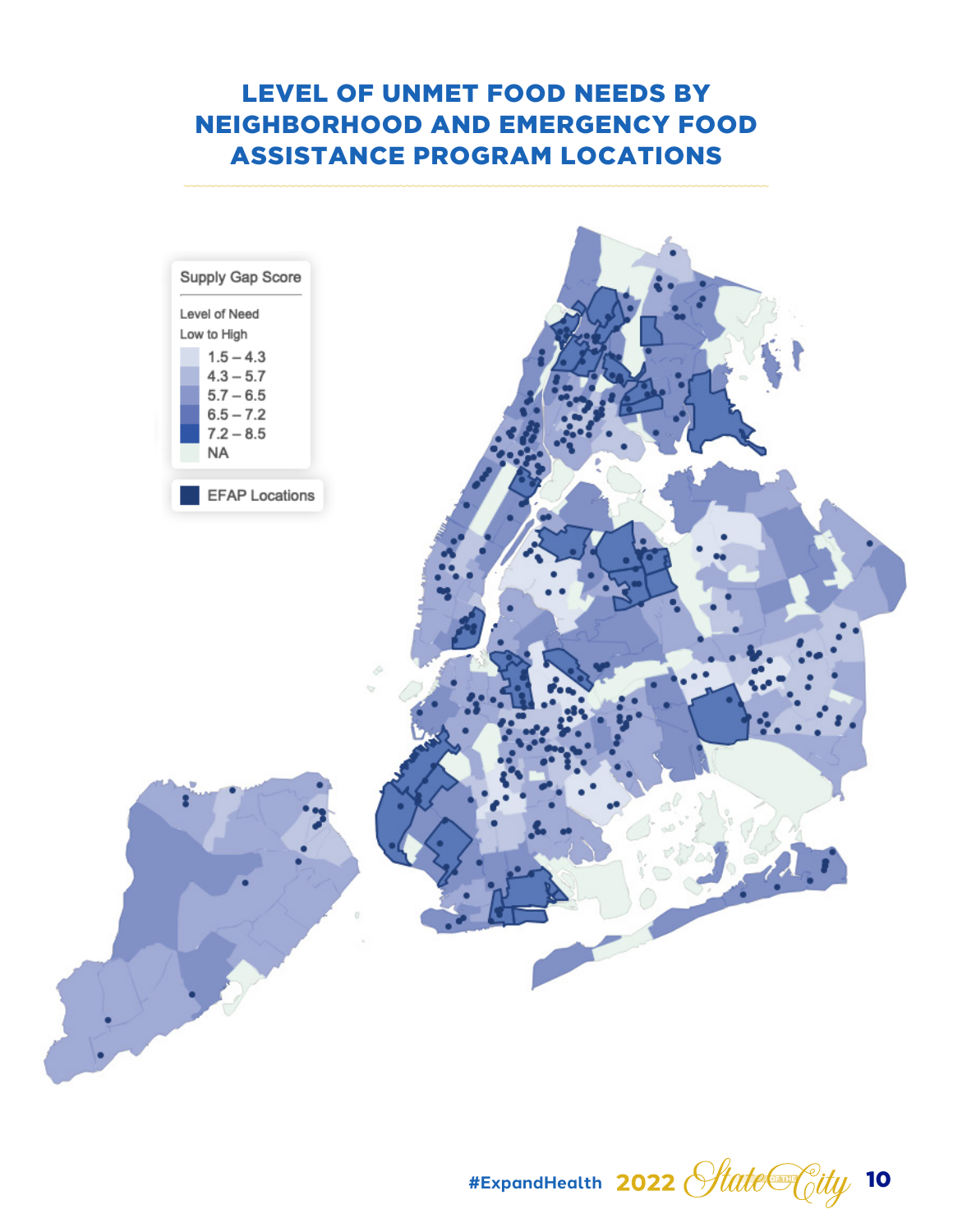# LEVEL OF UNMET FOOD NEEDS BY NEIGHBORHOOD AND EMERGENCY FOOD ASSISTANCE PROGRAM LOCATIONS



#ExpandHealth 2022 *State* City 10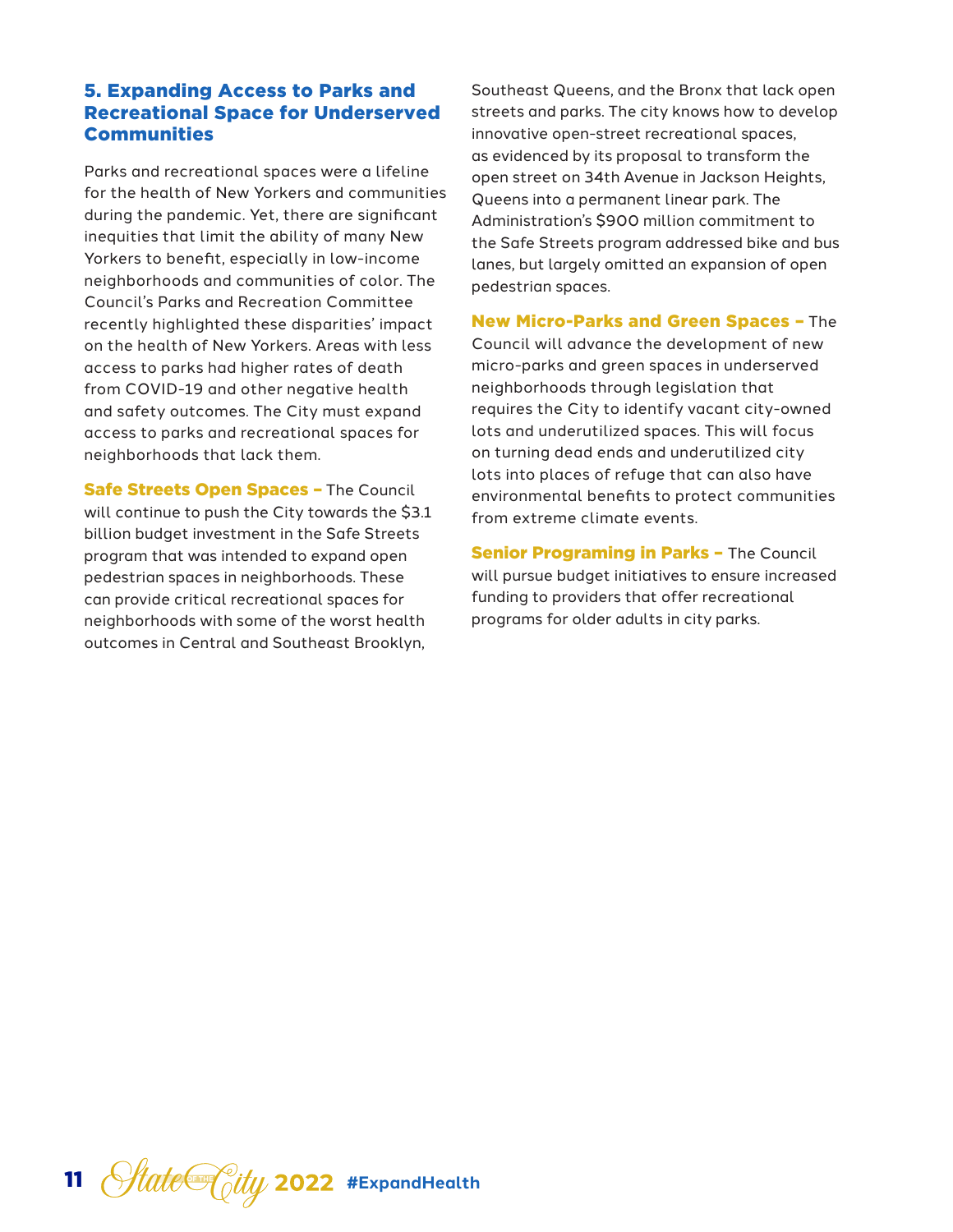### 5. Expanding Access to Parks and Recreational Space for Underserved **Communities**

Parks and recreational spaces were a lifeline for the health of New Yorkers and communities during the pandemic. Yet, there are significant inequities that limit the ability of many New Yorkers to benefit, especially in low-income neighborhoods and communities of color. The Council's Parks and Recreation Committee recently highlighted these disparities' impact on the health of New Yorkers. Areas with less access to parks had higher rates of death from COVID-19 and other negative health and safety outcomes. The City must expand access to parks and recreational spaces for neighborhoods that lack them.

**Safe Streets Open Spaces - The Council** will continue to push the City towards the \$3.1 billion budget investment in the Safe Streets program that was intended to expand open pedestrian spaces in neighborhoods. These can provide critical recreational spaces for neighborhoods with some of the worst health outcomes in Central and Southeast Brooklyn,

Southeast Queens, and the Bronx that lack open streets and parks. The city knows how to develop innovative open-street recreational spaces, as evidenced by its proposal to transform the open street on 34th Avenue in Jackson Heights, Queens into a permanent linear park. The Administration's \$900 million commitment to the Safe Streets program addressed bike and bus lanes, but largely omitted an expansion of open pedestrian spaces.

New Micro-Parks and Green Spaces – The Council will advance the development of new micro-parks and green spaces in underserved neighborhoods through legislation that requires the City to identify vacant city-owned lots and underutilized spaces. This will focus on turning dead ends and underutilized city lots into places of refuge that can also have environmental benefits to protect communities from extreme climate events.

**Senior Programing in Parks - The Council** will pursue budget initiatives to ensure increased funding to providers that offer recreational programs for older adults in city parks.

11 *State* City 2022 #ExpandHealth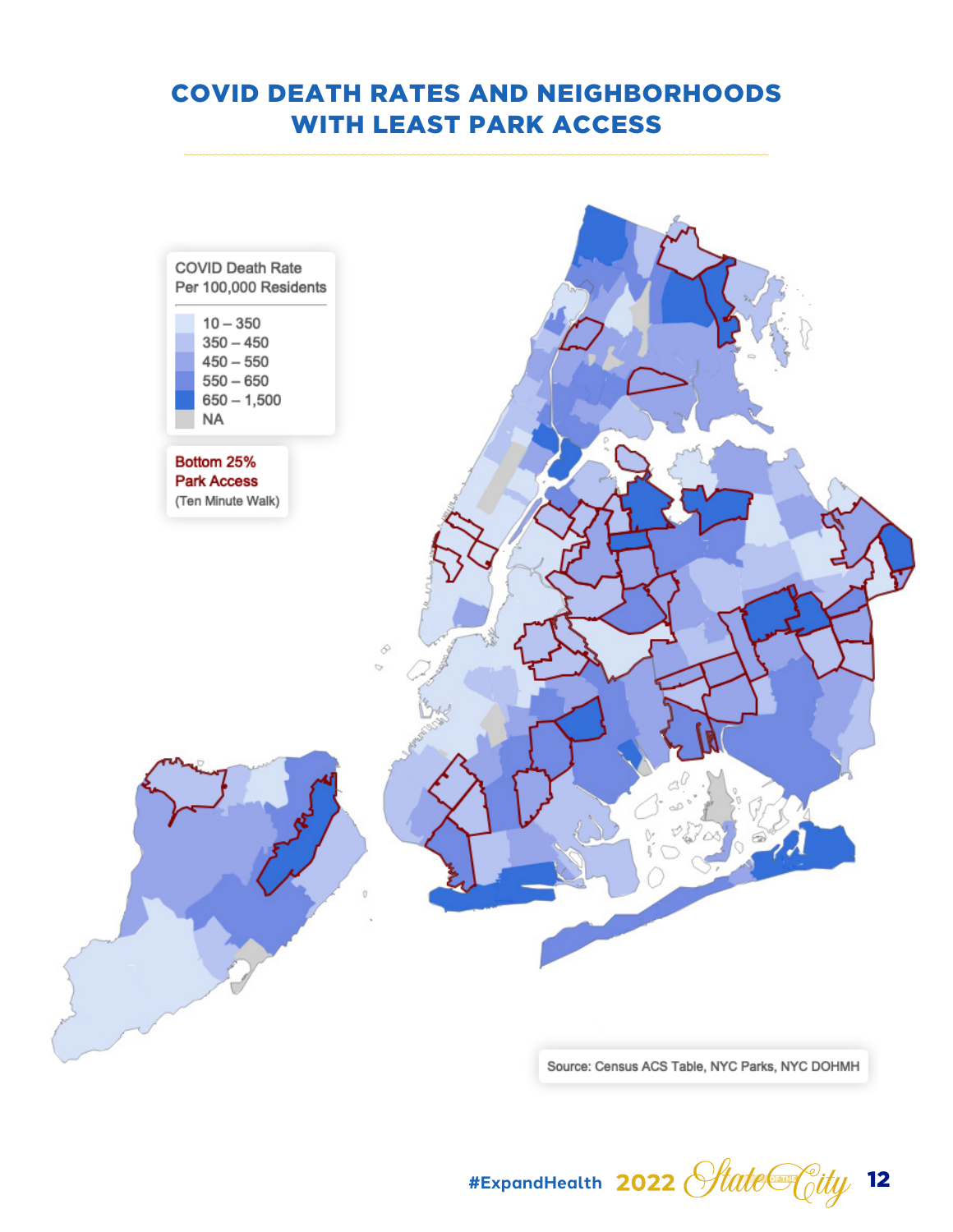# COVID DEATH RATES AND NEIGHBORHOODS WITH LEAST PARK ACCESS



Source: Census ACS Table, NYC Parks, NYC DOHMH

#ExpandHealth 2022 *Hate<sup>C</sup>oity* 12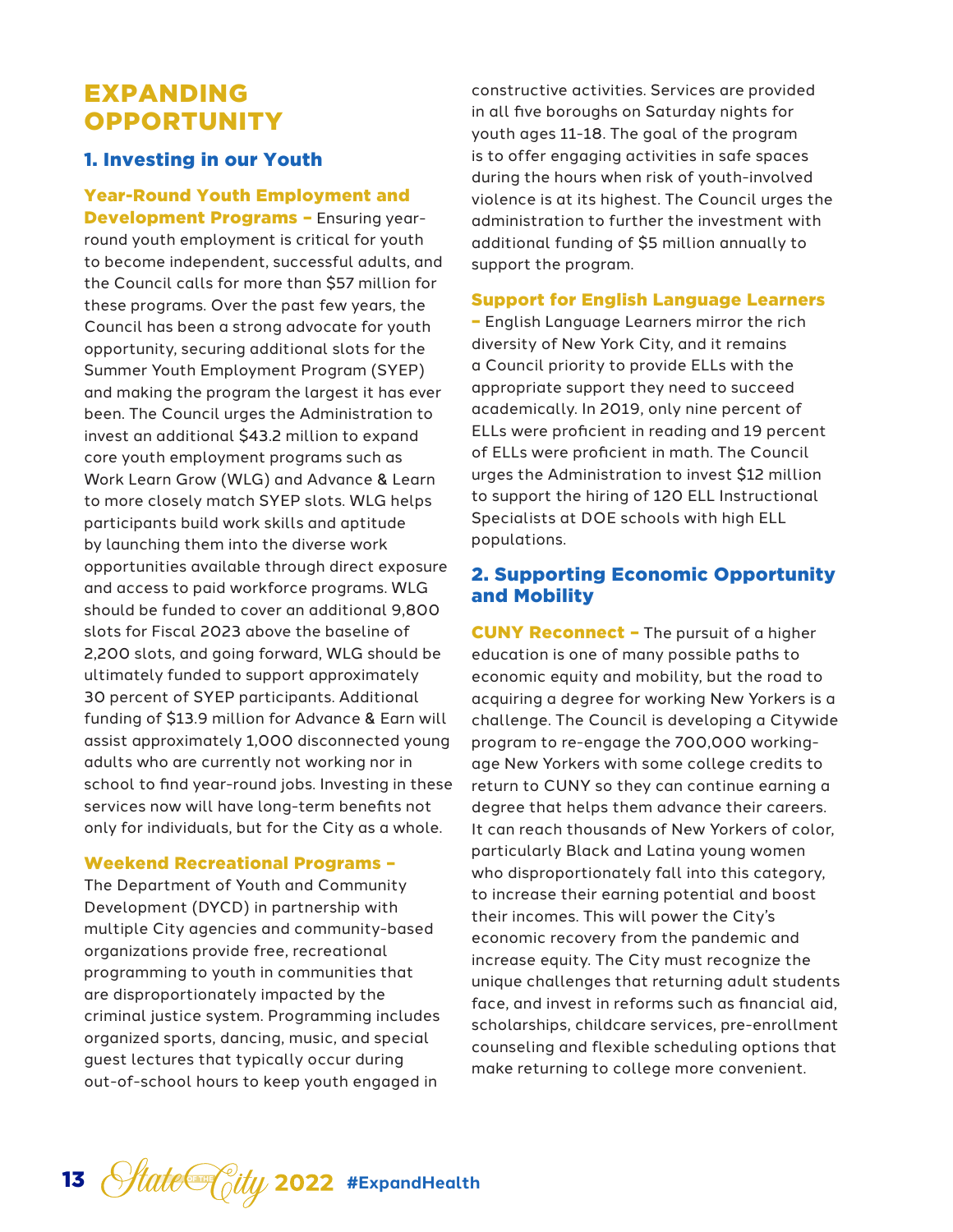# EXPANDING **OPPORTUNITY**

## 1. Investing in our Youth

Year-Round Youth Employment and Development Programs – Ensuring yearround youth employment is critical for youth to become independent, successful adults, and the Council calls for more than \$57 million for these programs. Over the past few years, the Council has been a strong advocate for youth opportunity, securing additional slots for the Summer Youth Employment Program (SYEP) and making the program the largest it has ever been. The Council urges the Administration to invest an additional \$43.2 million to expand core youth employment programs such as Work Learn Grow (WLG) and Advance & Learn to more closely match SYEP slots. WLG helps participants build work skills and aptitude by launching them into the diverse work opportunities available through direct exposure and access to paid workforce programs. WLG should be funded to cover an additional 9,800 slots for Fiscal 2023 above the baseline of 2,200 slots, and going forward, WLG should be ultimately funded to support approximately 30 percent of SYEP participants. Additional funding of \$13.9 million for Advance & Earn will assist approximately 1,000 disconnected young adults who are currently not working nor in school to find year-round jobs. Investing in these services now will have long-term benefits not only for individuals, but for the City as a whole.

#### Weekend Recreational Programs –

The Department of Youth and Community Development (DYCD) in partnership with multiple City agencies and community-based organizations provide free, recreational programming to youth in communities that are disproportionately impacted by the criminal justice system. Programming includes organized sports, dancing, music, and special guest lectures that typically occur during out-of-school hours to keep youth engaged in

constructive activities. Services are provided in all five boroughs on Saturday nights for youth ages 11-18. The goal of the program is to offer engaging activities in safe spaces during the hours when risk of youth-involved violence is at its highest. The Council urges the administration to further the investment with additional funding of \$5 million annually to support the program.

#### Support for English Language Learners

– English Language Learners mirror the rich diversity of New York City, and it remains a Council priority to provide ELLs with the appropriate support they need to succeed academically. In 2019, only nine percent of ELLs were proficient in reading and 19 percent of ELLs were proficient in math. The Council urges the Administration to invest \$12 million to support the hiring of 120 ELL Instructional Specialists at DOE schools with high ELL populations.

## 2. Supporting Economic Opportunity and Mobility

CUNY Reconnect – The pursuit of a higher education is one of many possible paths to economic equity and mobility, but the road to acquiring a degree for working New Yorkers is a challenge. The Council is developing a Citywide program to re-engage the 700,000 workingage New Yorkers with some college credits to return to CUNY so they can continue earning a degree that helps them advance their careers. It can reach thousands of New Yorkers of color, particularly Black and Latina young women who disproportionately fall into this category, to increase their earning potential and boost their incomes. This will power the City's economic recovery from the pandemic and increase equity. The City must recognize the unique challenges that returning adult students face, and invest in reforms such as financial aid, scholarships, childcare services, pre-enrollment counseling and flexible scheduling options that make returning to college more convenient.

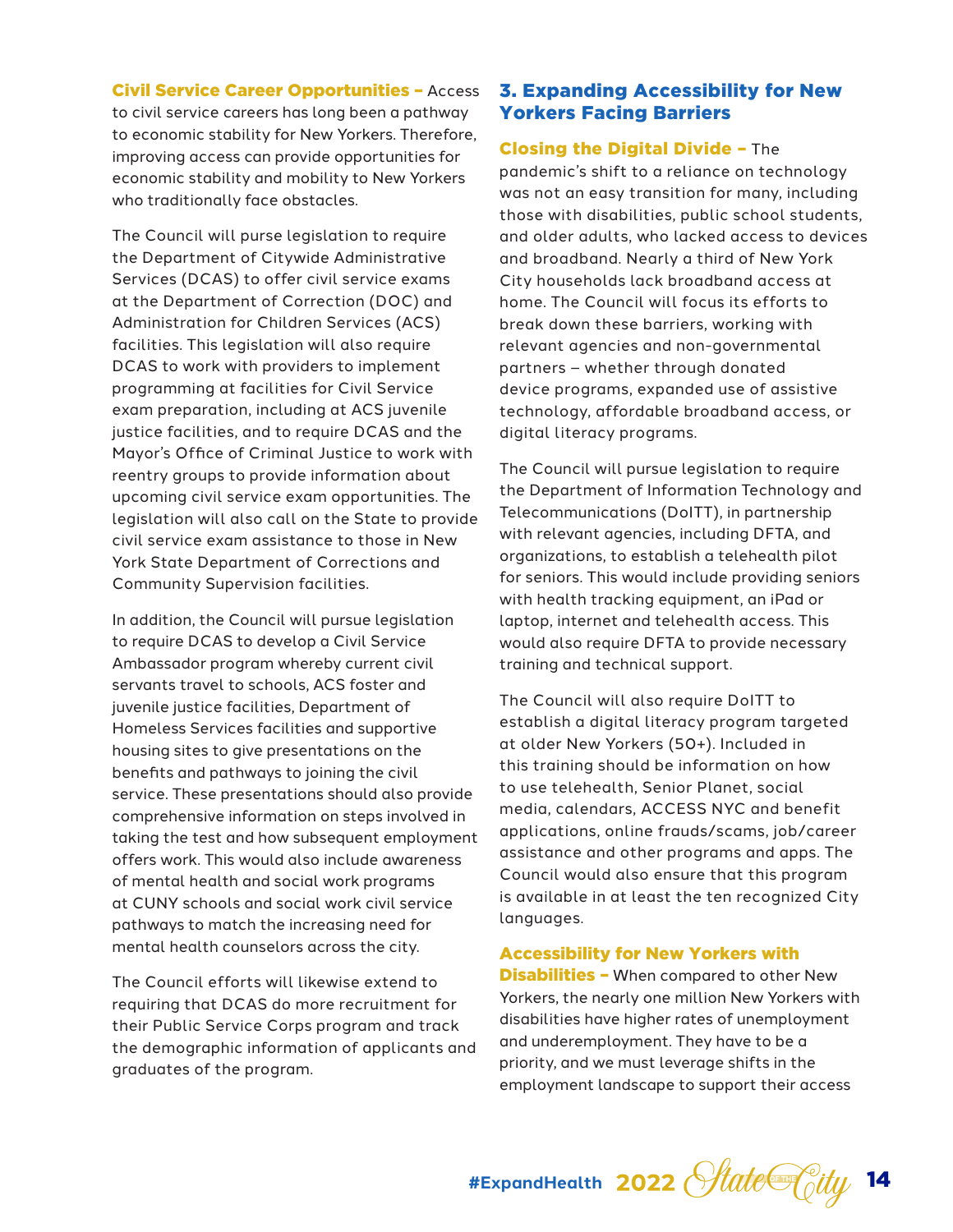#### Civil Service Career Opportunities – Access to civil service careers has long been a pathway to economic stability for New Yorkers. Therefore, improving access can provide opportunities for economic stability and mobility to New Yorkers who traditionally face obstacles.

The Council will purse legislation to require the Department of Citywide Administrative Services (DCAS) to offer civil service exams at the Department of Correction (DOC) and Administration for Children Services (ACS) facilities. This legislation will also require DCAS to work with providers to implement programming at facilities for Civil Service exam preparation, including at ACS juvenile justice facilities, and to require DCAS and the Mayor's Office of Criminal Justice to work with reentry groups to provide information about upcoming civil service exam opportunities. The legislation will also call on the State to provide civil service exam assistance to those in New York State Department of Corrections and Community Supervision facilities.

In addition, the Council will pursue legislation to require DCAS to develop a Civil Service Ambassador program whereby current civil servants travel to schools, ACS foster and juvenile justice facilities, Department of Homeless Services facilities and supportive housing sites to give presentations on the benefits and pathways to joining the civil service. These presentations should also provide comprehensive information on steps involved in taking the test and how subsequent employment offers work. This would also include awareness of mental health and social work programs at CUNY schools and social work civil service pathways to match the increasing need for mental health counselors across the city.

The Council efforts will likewise extend to requiring that DCAS do more recruitment for their Public Service Corps program and track the demographic information of applicants and graduates of the program.

## 3. Expanding Accessibility for New Yorkers Facing Barriers

## Closing the Digital Divide – The

pandemic's shift to a reliance on technology was not an easy transition for many, including those with disabilities, public school students, and older adults, who lacked access to devices and broadband. Nearly a third of New York City households lack broadband access at home. The Council will focus its efforts to break down these barriers, working with relevant agencies and non-governmental partners – whether through donated device programs, expanded use of assistive technology, affordable broadband access, or digital literacy programs.

The Council will pursue legislation to require the Department of Information Technology and Telecommunications (DoITT), in partnership with relevant agencies, including DFTA, and organizations, to establish a telehealth pilot for seniors. This would include providing seniors with health tracking equipment, an iPad or laptop, internet and telehealth access. This would also require DFTA to provide necessary training and technical support.

The Council will also require DoITT to establish a digital literacy program targeted at older New Yorkers (50+). Included in this training should be information on how to use telehealth, Senior Planet, social media, calendars, ACCESS NYC and benefit applications, online frauds/scams, job/career assistance and other programs and apps. The Council would also ensure that this program is available in at least the ten recognized City languages.

#### Accessibility for New Yorkers with

**Disabilities - When compared to other New** Yorkers, the nearly one million New Yorkers with disabilities have higher rates of unemployment and underemployment. They have to be a priority, and we must leverage shifts in the employment landscape to support their access

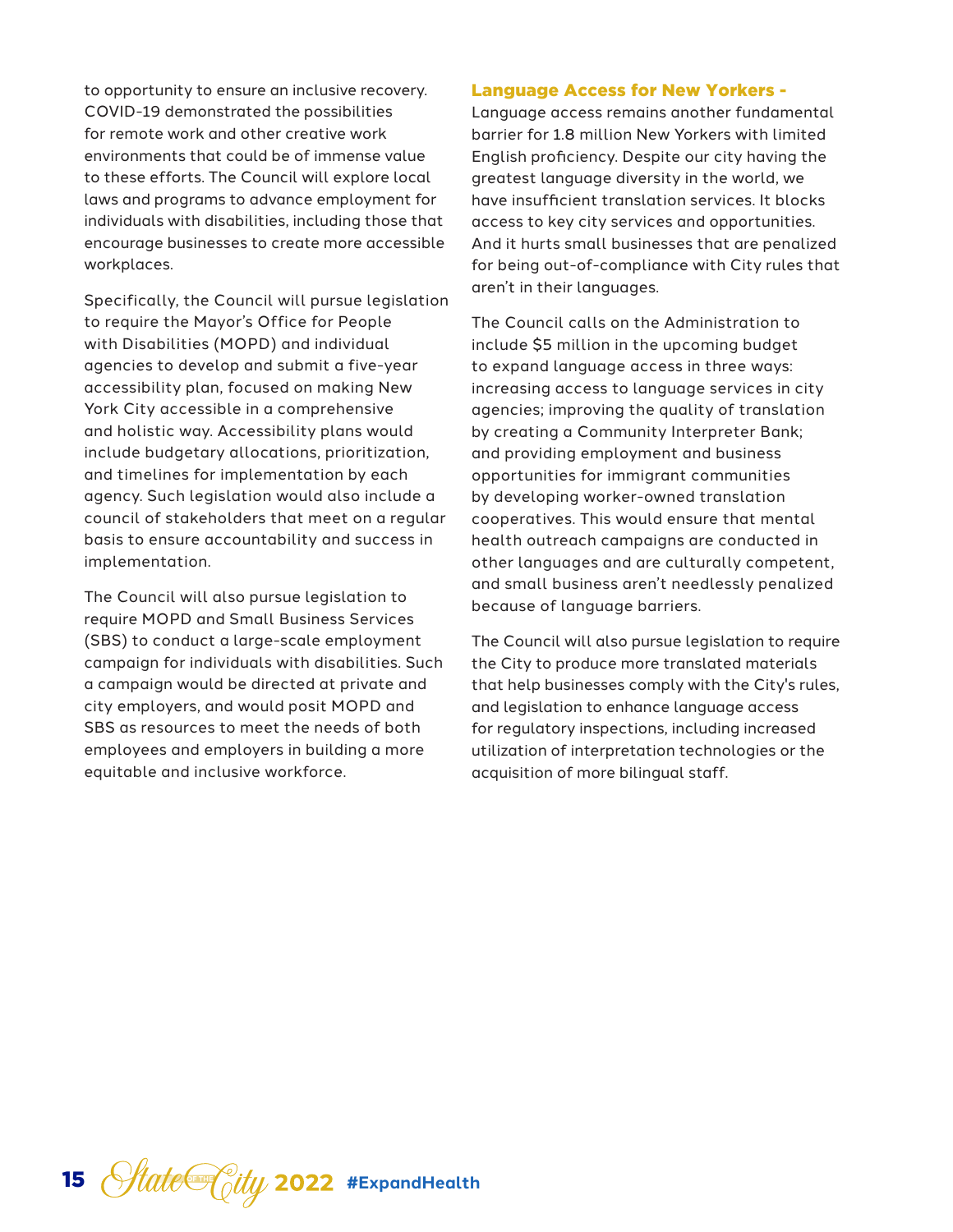to opportunity to ensure an inclusive recovery. COVID-19 demonstrated the possibilities for remote work and other creative work environments that could be of immense value to these efforts. The Council will explore local laws and programs to advance employment for individuals with disabilities, including those that encourage businesses to create more accessible workplaces.

Specifically, the Council will pursue legislation to require the Mayor's Office for People with Disabilities (MOPD) and individual agencies to develop and submit a five-year accessibility plan, focused on making New York City accessible in a comprehensive and holistic way. Accessibility plans would include budgetary allocations, prioritization, and timelines for implementation by each agency. Such legislation would also include a council of stakeholders that meet on a regular basis to ensure accountability and success in implementation.

The Council will also pursue legislation to require MOPD and Small Business Services (SBS) to conduct a large-scale employment campaign for individuals with disabilities. Such a campaign would be directed at private and city employers, and would posit MOPD and SBS as resources to meet the needs of both employees and employers in building a more equitable and inclusive workforce.

#### Language Access for New Yorkers -

Language access remains another fundamental barrier for 1.8 million New Yorkers with limited English proficiency. Despite our city having the greatest language diversity in the world, we have insufficient translation services. It blocks access to key city services and opportunities. And it hurts small businesses that are penalized for being out-of-compliance with City rules that aren't in their languages.

The Council calls on the Administration to include \$5 million in the upcoming budget to expand language access in three ways: increasing access to language services in city agencies; improving the quality of translation by creating a Community Interpreter Bank; and providing employment and business opportunities for immigrant communities by developing worker-owned translation cooperatives. This would ensure that mental health outreach campaigns are conducted in other languages and are culturally competent, and small business aren't needlessly penalized because of language barriers.

The Council will also pursue legislation to require the City to produce more translated materials that help businesses comply with the City's rules, and legislation to enhance language access for regulatory inspections, including increased utilization of interpretation technologies or the acquisition of more bilingual staff.

15 *State* City 2022 #ExpandHealth